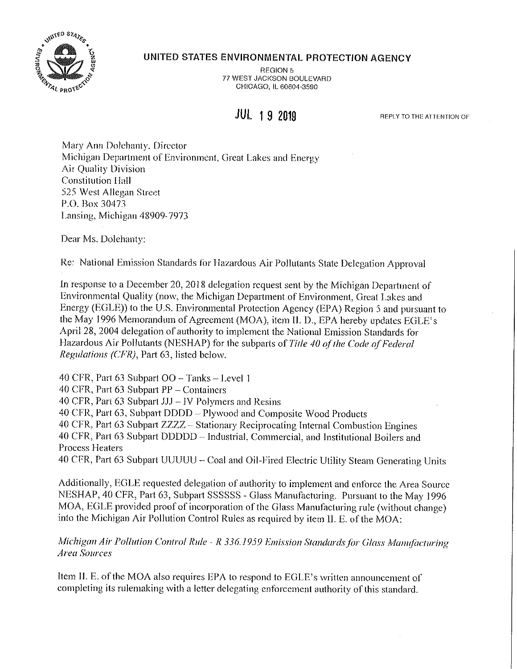

## **UNITED STATES ENVIRONMENTAL PROTECTION AGENCY**

REGION 5 77 WEST JACKSON BOULEVARD CHICAGO, IL 60604-3590

## **JUL 1 9 2019**

**REPLY TO THE ATTENTION OF** 

Mary Ann Dolchanty. Director Michigan Department of Environment, Great Lakes and Energy Air Quality Division Constitution Hall 525 West Allegan Street P.O. Box 30473 Lansing, Michigan 48909- 7973

Dear Ms. Dolehanty:

Re: National Emission Standards for Hazardous Air Pollutants State Delegation Approval

In response to a December 20, 2018 delegation request sent by the Michigan Department of Environmental Quality (now, the Michigan Department of Environment, Great Lakes and Energy (EGLE)) to the U.S. Environmental Protection Agency (EPA) Region 5 and pursuant to the May 1996 Memorandum of Agreement (MOA), item 11. D., EPA hereby updates EGLE's April 28, 2004 delegation of authority to implement the National Emission Standards for Hazardous Air Pollutants (NESHAP) for the subparts of *Title 40 of the Code of Federal Regulations (CFR),* Pari 63, listed below.

40 CFR, Part 63 Subpart  $OO - Tanks - Level 1$ 

40 CFR, Part 63 Subpart  $PP$  - Containers

40 CFR, Part 63 Subpart JJJ - IV Polymers and Resins

40 CFR, Part 63, Subpart DODD - Plywood and Composite Wood Products

40 CFR, Part 63 Subpart ZZZZ - Stationary Reciprocating Internal Combustion Engines

40 CFR, Part 63 Subpart DDDDD -- Industrial, Commercial, and Institutional Boilers and Process Heaters

40 CFR, Part 63 Subpart UUUUU - Coal and Oil-Fired Electric Utility Steam Generating Units

Additionally, EGLE requested delegation of authority to implement and enforce the Area Source NESHAP, 40 CFR, Part 63, Subpati SSSSSS - Glass Manufacturing. Pursuant to the May 1996 MOA, EGLE provided proof of incorporation of the Glass Manufacturing rule (without change) into the Michigan Air Pollution Control Rules as required by item II. E. of the MOA:

*Michigan Air Pollution Control Rule - R 336.1959 Emission Standards for Glass Manufacturing Area Sources* 

ltem II. E. of the MOA also requires EPA to respond to EGLE's written announcement of completing its rulemaking with a letter delegating enforcement authority of this standard.